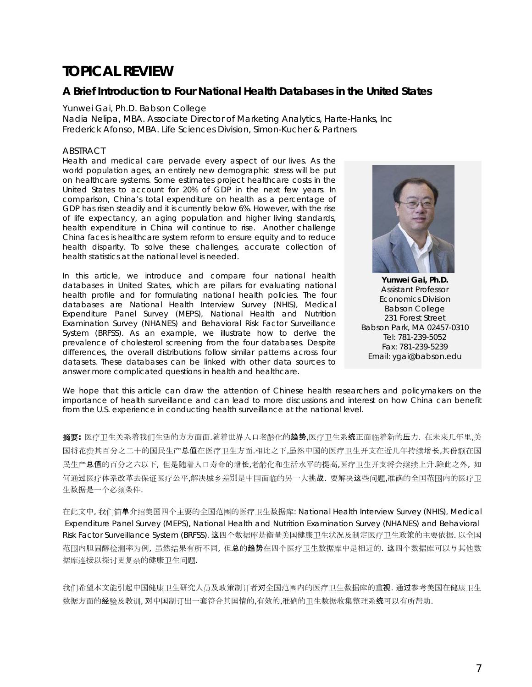# **TOPICAL REVIEW**

# **A Brief Introduction to Four National Health Databases in the United States**

#### *Yunwei Gai, Ph.D. Babson College*

*Nadia Nelipa, MBA. Associate Director of Marketing Analytics, Harte-Hanks, Inc Frederick Afonso, MBA. Life Sciences Division, Simon-Kucher & Partners* 

#### ABSTRACT

*Health and medical care pervade every aspect of our lives. As the world population ages, an entirely new demographic stress will be put on healthcare systems. Some estimates project healthcare costs in the United States to account for 20% of GDP in the next few years. In comparison, China's total expenditure on health as a percentage of GDP has risen steadily and it is currently below 6%. However, with the rise of life expectancy, an aging population and higher living standards, health expenditure in China will continue to rise. Another challenge China faces is healthcare system reform to ensure equity and to reduce health disparity. To solve these challenges, accurate collection of health statistics at the national level is needed.* 

*In this article, we introduce and compare four national health databases in United States, which are pillars for evaluating national health profile and for formulating national health policies. The four databases are National Health Interview Survey (NHIS), Medical Expenditure Panel Survey (MEPS), National Health and Nutrition Examination Survey (NHANES) and Behavioral Risk Factor Surveillance System (BRFSS). As an example, we illustrate how to derive the prevalence of cholesterol screening from the four databases. Despite differences, the overall distributions follow similar patterns across four datasets. These databases can be linked with other data sources to answer more complicated questions in health and healthcare.* 



**Yunwei Gai, Ph.D.**  Assistant Professor Economics Division Babson College 231 Forest Street Babson Park, MA 02457-0310 Tel: 781-239-5052 Fax: 781-239-5239 Email: ygai@babson.edu

We hope that this article can draw the attention of Chinese health researchers and policymakers on the *importance of health surveillance and can lead to more discussions and interest on how China can benefit* from the U.S. experience in conducting health surveillance at the national level.

摘要**:** 医疗卫生关系着我们生活的方方面面.随着世界人口老龄化的趋势,医疗卫生系统正面临着新的压力. 在未来几年里,美 国将花费其百分之二十的国民生产总值在医疗卫生方面.相比之下,虽然中国的医疗卫生开支在近几年持续增长,其份额在国 民生产总值的百分之六以下, 但是随着人口寿命的增长,老龄化和生活水平的提高,医疗卫生开支将会继续上升.除此之外, 如 何通过医疗体系改革去保证医疗公平,解决城乡差别是中国面临的另一大挑战. 要解决这些问题,准确的全国范围内的医疗卫 生数据是一个必须条件.

在此文中, 我们简单介绍美国四个主要的全国范围的医疗卫生数据库: National Health Interview Survey (NHIS), Medical Expenditure Panel Survey (MEPS), National Health and Nutrition Examination Survey (NHANES) and Behavioral Risk Factor Surveillance System (BRFSS). 这四个数据库是衡量美国健康卫生状况及制定医疗卫生政策的主要依据. 以全国 范围内胆固醇检测率为例, 虽然结果有所不同, 但总的趋势在四个医疗卫生数据库中是相近的. 这四个数据库可以与其他数 据库连接以探讨更复杂的健康卫生问题.

我们希望本文能引起中国健康卫生研究人员及政策制订者对全国范围内的医疗卫生数据库的重视. 通过参考美国在健康卫生 数据方面的经验及教训, 对中国制订出一套符合其国情的,有效的,准确的卫生数据收集整理系统可以有所帮助.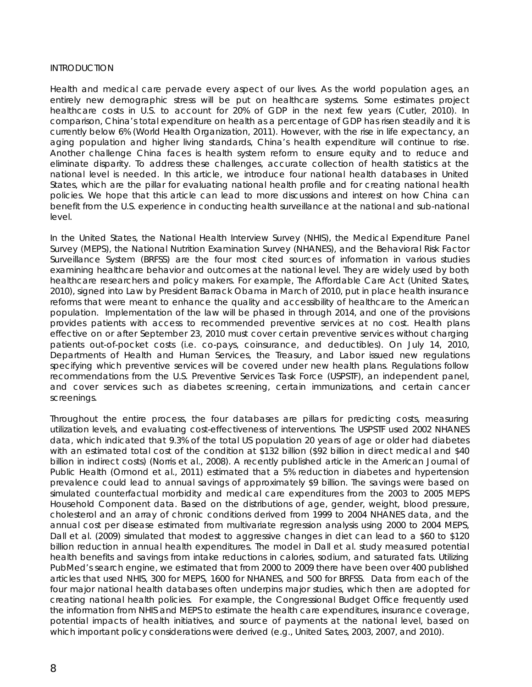#### **INTRODUCTION**

Health and medical care pervade every aspect of our lives. As the world population ages, an entirely new demographic stress will be put on healthcare systems. Some estimates project healthcare costs in U.S. to account for 20% of GDP in the next few years (Cutler, 2010). In comparison, China's total expenditure on health as a percentage of GDP has risen steadily and it is currently below 6% (World Health Organization, 2011). However, with the rise in life expectancy, an aging population and higher living standards, China's health expenditure will continue to rise. Another challenge China faces is health system reform to ensure equity and to reduce and eliminate disparity. To address these challenges, accurate collection of health statistics at the national level is needed. In this article, we introduce four national health databases in United States, which are the pillar for evaluating national health profile and for creating national health policies. We hope that this article can lead to more discussions and interest on how China can benefit from the U.S. experience in conducting health surveillance at the national and sub-national level.

In the United States, the National Health Interview Survey (NHIS), the Medical Expenditure Panel Survey (MEPS), the National Nutrition Examination Survey (NHANES), and the Behavioral Risk Factor Surveillance System (BRFSS) are the four most cited sources of information in various studies examining healthcare behavior and outcomes at the national level. They are widely used by both healthcare researchers and policy makers. For example, The Affordable Care Act (United States, 2010), signed into Law by President Barrack Obama in March of 2010, put in place health insurance reforms that were meant to enhance the quality and accessibility of healthcare to the American population. Implementation of the law will be phased in through 2014, and one of the provisions provides patients with access to recommended preventive services at no cost. Health plans effective on or after September 23, 2010 must cover certain preventive services without charging patients out-of-pocket costs (i.e. co-pays, coinsurance, and deductibles). On July 14, 2010, Departments of Health and Human Services, the Treasury, and Labor issued new regulations specifying which preventive services will be covered under new health plans. Regulations follow recommendations from the U.S. Preventive Services Task Force (USPSTF), an independent panel, and cover services such as diabetes screening, certain immunizations, and certain cancer screenings.

Throughout the entire process, the four databases are pillars for predicting costs, measuring utilization levels, and evaluating cost-effectiveness of interventions. The USPSTF used 2002 NHANES data, which indicated that 9.3% of the total US population 20 years of age or older had diabetes with an estimated total cost of the condition at \$132 billion (\$92 billion in direct medical and \$40 billion in indirect costs) (Norris et al., 2008). A recently published article in the American Journal of Public Health (Ormond et al., 2011) estimated that a 5% reduction in diabetes and hypertension prevalence could lead to annual savings of approximately \$9 billion. The savings were based on simulated counterfactual morbidity and medical care expenditures from the 2003 to 2005 MEPS Household Component data. Based on the distributions of age, gender, weight, blood pressure, cholesterol and an array of chronic conditions derived from 1999 to 2004 NHANES data, and the annual cost per disease estimated from multivariate regression analysis using 2000 to 2004 MEPS, Dall et al. (2009) simulated that modest to aggressive changes in diet can lead to a \$60 to \$120 billion reduction in annual health expenditures. The model in Dall et al. study measured potential health benefits and savings from intake reductions in calories, sodium, and saturated fats. Utilizing PubMed's search engine, we estimated that from 2000 to 2009 there have been over 400 published articles that used NHIS, 300 for MEPS, 1600 for NHANES, and 500 for BRFSS. Data from each of the four major national health databases often underpins major studies, which then are adopted for creating national health policies. For example, the Congressional Budget Office frequently used the information from NHIS and MEPS to estimate the health care expenditures, insurance coverage, potential impacts of health initiatives, and source of payments at the national level, based on which important policy considerations were derived (e.g., United Sates, 2003, 2007, and 2010).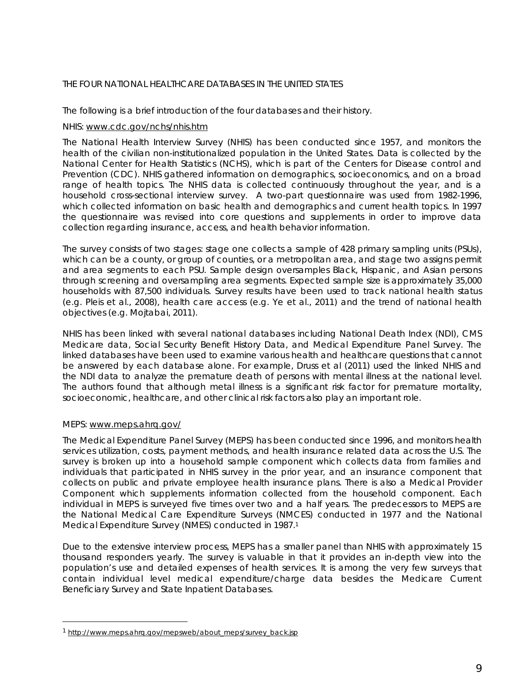# THE FOUR NATIONAL HEALTHCARE DATABASES IN THE UNITED STATES

The following is a brief introduction of the four databases and their history.

## *NHIS: www.cdc.gov/nchs/nhis.htm*

The National Health Interview Survey (NHIS) has been conducted since 1957, and monitors the health of the civilian non-institutionalized population in the United States. Data is collected by the National Center for Health Statistics (NCHS), which is part of the Centers for Disease control and Prevention (CDC). NHIS gathered information on demographics, socioeconomics, and on a broad range of health topics. The NHIS data is collected continuously throughout the year, and is a household cross-sectional interview survey. A two-part questionnaire was used from 1982-1996, which collected information on basic health and demographics and current health topics. In 1997 the questionnaire was revised into core questions and supplements in order to improve data collection regarding insurance, access, and health behavior information.

The survey consists of two stages: stage one collects a sample of 428 primary sampling units (PSUs), which can be a county, or group of counties, or a metropolitan area, and stage two assigns permit and area segments to each PSU. Sample design oversamples Black, Hispanic, and Asian persons through screening and oversampling area segments. Expected sample size is approximately 35,000 households with 87,500 individuals. Survey results have been used to track national health status (e.g. Pleis et al., 2008), health care access (e.g. Ye et al., 2011) and the trend of national health objectives (e.g. Mojtabai, 2011).

NHIS has been linked with several national databases including National Death Index (NDI), CMS Medicare data, Social Security Benefit History Data, and Medical Expenditure Panel Survey. The linked databases have been used to examine various health and healthcare questions that cannot be answered by each database alone. For example, Druss et al (2011) used the linked NHIS and the NDI data to analyze the premature death of persons with mental illness at the national level. The authors found that although metal illness is a significant risk factor for premature mortality, socioeconomic, healthcare, and other clinical risk factors also play an important role.

# *MEPS: www.meps.ahrq.gov/*

 $\overline{a}$ 

The Medical Expenditure Panel Survey (MEPS) has been conducted since 1996, and monitors health services utilization, costs, payment methods, and health insurance related data across the U.S. The survey is broken up into a household sample component which collects data from families and individuals that participated in NHIS survey in the prior year, and an insurance component that collects on public and private employee health insurance plans. There is also a Medical Provider Component which supplements information collected from the household component. Each individual in MEPS is surveyed five times over two and a half years. The predecessors to MEPS are the National Medical Care Expenditure Surveys (NMCES) conducted in 1977 and the National Medical Expenditure Survey (NMES) conducted in 1987.1

Due to the extensive interview process, MEPS has a smaller panel than NHIS with approximately 15 thousand responders yearly. The survey is valuable in that it provides an in-depth view into the population's use and detailed expenses of health services. It is among the very few surveys that contain individual level medical expenditure/charge data besides the Medicare Current Beneficiary Survey and State Inpatient Databases.

<sup>1</sup> http://www.meps.ahrq.gov/mepsweb/about\_meps/survey\_back.jsp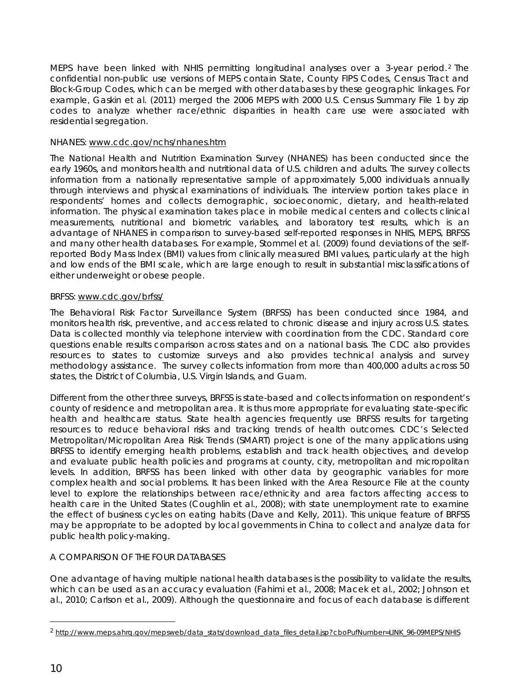MEPS have been linked with NHIS permitting longitudinal analyses over a 3-year period. 2 The confidential non-public use versions of MEPS contain State, County FIPS Codes, Census Tract and Block-Group Codes, which can be merged with other databases by these geographic linkages. For example, Gaskin et al. (2011) merged the 2006 MEPS with 2000 U.S. Census Summary File 1 by zip codes to analyze whether race/ethnic disparities in health care use were associated with residential segregation.

# *NHANES: www.cdc.gov/nchs/nhanes.htm*

The National Health and Nutrition Examination Survey (NHANES) has been conducted since the early 1960s, and monitors health and nutritional data of U.S. children and adults. The survey collects information from a nationally representative sample of approximately 5,000 individuals annually through interviews and physical examinations of individuals. The interview portion takes place in respondents' homes and collects demographic, socioeconomic, dietary, and health-related information. The physical examination takes place in mobile medical centers and collects clinical measurements, nutritional and biometric variables, and laboratory test results, which is an advantage of NHANES in comparison to survey-based self-reported responses in NHIS, MEPS, BRFSS and many other health databases. For example, Stommel et al. (2009) found deviations of the selfreported Body Mass Index (BMI) values from clinically measured BMI values, particularly at the high and low ends of the BMI scale, which are large enough to result in substantial misclassifications of either underweight or obese people.

## *BRFSS:* www.cdc.gov/brfss/

The Behavioral Risk Factor Surveillance System (BRFSS) has been conducted since 1984, and monitors health risk, preventive, and access related to chronic disease and injury across U.S. states. Data is collected monthly via telephone interview with coordination from the CDC. Standard core questions enable results comparison across states and on a national basis. The CDC also provides resources to states to customize surveys and also provides technical analysis and survey methodology assistance. The survey collects information from more than 400,000 adults across 50 states, the District of Columbia, U.S. Virgin Islands, and Guam.

Different from the other three surveys, BRFSS is state-based and collects information on respondent's county of residence and metropolitan area. It is thus more appropriate for evaluating state-specific health and healthcare status. State health agencies frequently use BRFSS results for targeting resources to reduce behavioral risks and tracking trends of health outcomes. CDC's Selected Metropolitan/Micropolitan Area Risk Trends (SMART) project is one of the many applications using BRFSS to identify emerging health problems, establish and track health objectives, and develop and evaluate public health policies and programs at county, city, metropolitan and micropolitan levels. In addition, BRFSS has been linked with other data by geographic variables for more complex health and social problems. It has been linked with the Area Resource File at the county level to explore the relationships between race/ethnicity and area factors affecting access to health care in the United States (Coughlin et al., 2008); with state unemployment rate to examine the effect of business cycles on eating habits (Dave and Kelly, 2011). This unique feature of BRFSS may be appropriate to be adopted by local governments in China to collect and analyze data for public health policy-making.

# A COMPARISON OF THE FOUR DATABASES

One advantage of having multiple national health databases is the possibility to validate the results, which can be used as an accuracy evaluation (Fahimi et al., 2008; Macek et al., 2002; Johnson et al., 2010; Carlson et al., 2009). Although the questionnaire and focus of each database is different

l

<sup>2</sup> http://www.meps.ahrq.gov/mepsweb/data\_stats/download\_data\_files\_detail.jsp?cboPufNumber=LINK\_96-09MEPS/NHIS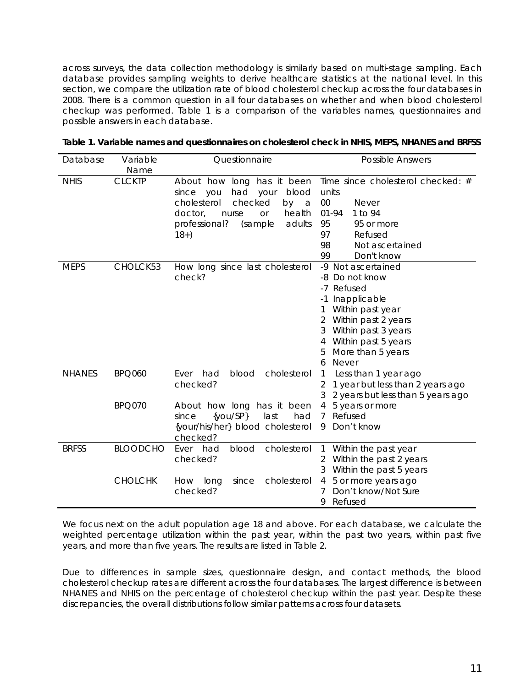across surveys, the data collection methodology is similarly based on multi-stage sampling. Each database provides sampling weights to derive healthcare statistics at the national level. In this section, we compare the utilization rate of blood cholesterol checkup across the four databases in 2008. There is a common question in all four databases on whether and when blood cholesterol checkup was performed. Table 1 is a comparison of the variables names, questionnaires and possible answers in each database.

| Database      | Variable<br>Name | Questionnaire                                                                                                                                                                                   | Possible Answers                                                                                                                                                                                                                     |  |  |
|---------------|------------------|-------------------------------------------------------------------------------------------------------------------------------------------------------------------------------------------------|--------------------------------------------------------------------------------------------------------------------------------------------------------------------------------------------------------------------------------------|--|--|
| <b>NHIS</b>   | <b>CLCKTP</b>    | About how long has it been<br>had<br>blood<br>since you<br>your<br>cholesterol<br>checked<br>by<br>a<br>health<br>doctor,<br>nurse<br><b>Or</b><br>adults<br>professional?<br>(sample<br>$18+)$ | Time since cholesterol checked: #<br>units<br>00<br><b>Never</b><br>$01 - 94$<br>1 to 94<br>95<br>95 or more<br>97<br>Refused<br>98<br>Not ascertained<br>99<br>Don't know                                                           |  |  |
| <b>MEPS</b>   | CHOLCK53         | How long since last cholesterol<br>check?                                                                                                                                                       | -9 Not ascertained<br>Do not know<br>-8<br>-7 Refused<br>Inapplicable<br>$-1$<br>Within past year<br>Within past 2 years<br>2<br>Within past 3 years<br>3<br>Within past 5 years<br>4<br>More than 5 years<br>5<br><b>Never</b><br>6 |  |  |
| <b>NHANES</b> | <b>BPQ060</b>    | Ever<br>had<br>blood<br>cholesterol<br>checked?                                                                                                                                                 | $\mathbf{1}$<br>Less than 1 year ago<br>1 year but less than 2 years ago<br>2<br>2 years but less than 5 years ago<br>3                                                                                                              |  |  |
|               | <b>BPQ070</b>    | About how long has it been<br>$\{you/SP\}$<br>last<br>since<br>had<br>{your/his/her} blood cholesterol<br>checked?                                                                              | 5 years or more<br>4<br>Refused<br>7<br>Don't know<br>9                                                                                                                                                                              |  |  |
| <b>BRFSS</b>  | <b>BLOODCHO</b>  | had<br>blood<br>cholesterol<br>Ever<br>checked?                                                                                                                                                 | $\mathbf{1}$<br>Within the past year<br>Within the past 2 years<br>2<br>Within the past 5 years                                                                                                                                      |  |  |
|               | <b>CHOLCHK</b>   | cholesterol<br>How<br>long<br>since<br>checked?                                                                                                                                                 | 5 or more years ago<br>4<br>Don't know/Not Sure<br>Refused<br>9                                                                                                                                                                      |  |  |

|  | Table 1. Variable names and questionnaires on cholesterol check in NHIS, MEPS, NHANES and BRFSS |  |  |
|--|-------------------------------------------------------------------------------------------------|--|--|
|--|-------------------------------------------------------------------------------------------------|--|--|

We focus next on the adult population age 18 and above. For each database, we calculate the weighted percentage utilization within the past year, within the past two years, within past five years, and more than five years. The results are listed in Table 2.

Due to differences in sample sizes, questionnaire design, and contact methods, the blood cholesterol checkup rates are different across the four databases. The largest difference is between NHANES and NHIS on the percentage of cholesterol checkup within the past year. Despite these discrepancies, the overall distributions follow similar patterns across four datasets.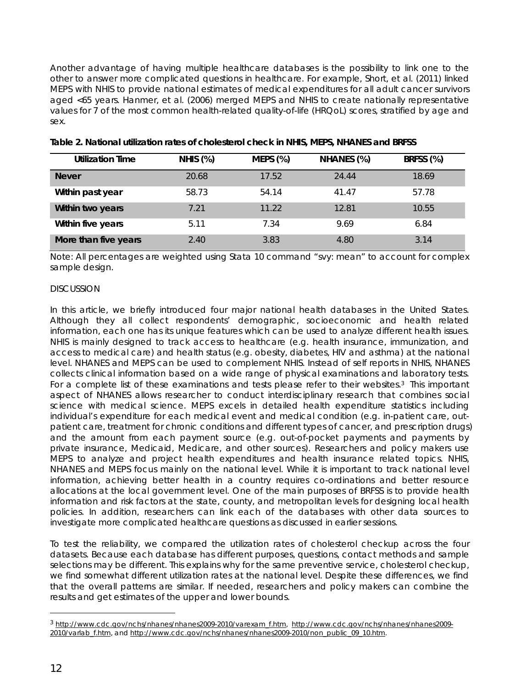Another advantage of having multiple healthcare databases is the possibility to link one to the other to answer more complicated questions in healthcare. For example, Short, et al. (2011) linked MEPS with NHIS to provide national estimates of medical expenditures for all adult cancer survivors aged <65 years. Hanmer, et al. (2006) merged MEPS and NHIS to create nationally representative values for 7 of the most common health-related quality-of-life (HRQoL) scores, stratified by age and sex.

| <b>Utilization Time</b> | <b>NHIS (%)</b> | <b>MEPS (%)</b> | NHANES (%) | BRFSS (%) |
|-------------------------|-----------------|-----------------|------------|-----------|
| <b>Never</b>            | 20.68           | 17.52           | 24.44      | 18.69     |
| Within past year        | 58.73           | 54.14           | 41.47      | 57.78     |
| Within two years        | 7.21            | 11.22           | 12.81      | 10.55     |
| Within five years       | 5.11            | 7.34            | 9.69       | 6.84      |
| More than five years    | 2.40            | 3.83            | 4.80       | 3.14      |

# **Table 2. National utilization rates of cholesterol check in NHIS, MEPS, NHANES and BRFSS**

Note: All percentages are weighted using Stata 10 command "svy: mean" to account for complex sample design.

### DISCUSSION

In this article, we briefly introduced four major national health databases in the United States. Although they all collect respondents' demographic, socioeconomic and health related information, each one has its unique features which can be used to analyze different health issues. NHIS is mainly designed to track access to healthcare (e.g. health insurance, immunization, and access to medical care) and health status (e.g. obesity, diabetes, HIV and asthma) at the national level. NHANES and MEPS can be used to complement NHIS. Instead of self reports in NHIS, NHANES collects clinical information based on a wide range of physical examinations and laboratory tests. For a complete list of these examinations and tests please refer to their websites.<sup>3</sup> This important aspect of NHANES allows researcher to conduct interdisciplinary research that combines social science with medical science. MEPS excels in detailed health expenditure statistics including individual's expenditure for each medical event and medical condition (e.g. in-patient care, outpatient care, treatment for chronic conditions and different types of cancer, and prescription drugs) and the amount from each payment source (e.g. out-of-pocket payments and payments by private insurance, Medicaid, Medicare, and other sources). Researchers and policy makers use MEPS to analyze and project health expenditures and health insurance related topics. NHIS, NHANES and MEPS focus mainly on the national level. While it is important to track national level information, achieving better health in a country requires co-ordinations and better resource allocations at the local government level. One of the main purposes of BRFSS is to provide health information and risk factors at the state, county, and metropolitan levels for designing local health policies. In addition, researchers can link each of the databases with other data sources to investigate more complicated healthcare questions as discussed in earlier sessions.

To test the reliability, we compared the utilization rates of cholesterol checkup across the four datasets. Because each database has different purposes, questions, contact methods and sample selections may be different. This explains why for the same preventive service, cholesterol checkup, we find somewhat different utilization rates at the national level. Despite these differences, we find that the overall patterns are similar. If needed, researchers and policy makers can combine the results and get estimates of the upper and lower bounds.

l

<sup>3</sup> http://www.cdc.gov/nchs/nhanes/nhanes2009-2010/varexam\_f.htm, http://www.cdc.gov/nchs/nhanes/nhanes2009- 2010/varlab\_f.htm, and http://www.cdc.gov/nchs/nhanes/nhanes2009-2010/non\_public\_09\_10.htm.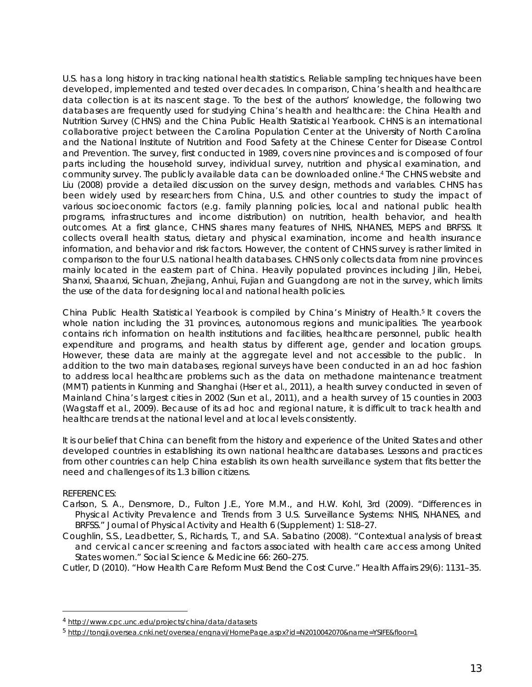U.S. has a long history in tracking national health statistics. Reliable sampling techniques have been developed, implemented and tested over decades. In comparison, China's health and healthcare data collection is at its nascent stage. To the best of the authors' knowledge, the following two databases are frequently used for studying China's health and healthcare: the China Health and Nutrition Survey (CHNS) and the China Public Health Statistical Yearbook. CHNS is an international collaborative project between the Carolina Population Center at the University of North Carolina and the National Institute of Nutrition and Food Safety at the Chinese Center for Disease Control and Prevention. The survey, first conducted in 1989, covers nine provinces and is composed of four parts including the household survey, individual survey, nutrition and physical examination, and community survey. The publicly available data can be downloaded online.4 The CHNS website and Liu (2008) provide a detailed discussion on the survey design, methods and variables. CHNS has been widely used by researchers from China, U.S. and other countries to study the impact of various socioeconomic factors (e.g. family planning policies, local and national public health programs, infrastructures and income distribution) on nutrition, health behavior, and health outcomes. At a first glance, CHNS shares many features of NHIS, NHANES, MEPS and BRFSS. It collects overall health status, dietary and physical examination, income and health insurance information, and behavior and risk factors. However, the content of CHNS survey is rather limited in comparison to the four U.S. national health databases. CHNS only collects data from nine provinces mainly located in the eastern part of China. Heavily populated provinces including Jilin, Hebei, Shanxi, Shaanxi, Sichuan, Zhejiang, Anhui, Fujian and Guangdong are not in the survey, which limits the use of the data for designing local and national health policies.

China Public Health Statistical Yearbook is compiled by China's Ministry of Health.5 It covers the whole nation including the 31 provinces, autonomous regions and municipalities. The yearbook contains rich information on health institutions and facilities, healthcare personnel, public health expenditure and programs, and health status by different age, gender and location groups. However, these data are mainly at the aggregate level and not accessible to the public. In addition to the two main databases, regional surveys have been conducted in an ad hoc fashion to address local healthcare problems such as the data on methadone maintenance treatment (MMT) patients in Kunming and Shanghai (Hser et al., 2011), a health survey conducted in seven of Mainland China's largest cities in 2002 (Sun et al., 2011), and a health survey of 15 counties in 2003 (Wagstaff et al., 2009). Because of its ad hoc and regional nature, it is difficult to track health and healthcare trends at the national level and at local levels consistently.

It is our belief that China can benefit from the history and experience of the United States and other developed countries in establishing its own national healthcare databases. Lessons and practices from other countries can help China establish its own health surveillance system that fits better the need and challenges of its 1.3 billion citizens.

## REFERENCES:

 $\overline{a}$ 

- Carlson, S. A., Densmore, D., Fulton J.E., Yore M.M., and H.W. Kohl, 3rd (2009). "Differences in Physical Activity Prevalence and Trends from 3 U.S. Surveillance Systems: NHIS, NHANES, and BRFSS." Journal of Physical Activity and Health 6 (Supplement) 1: S18–27.
- Coughlin, S.S., Leadbetter, S., Richards, T., and S.A. Sabatino (2008). "Contextual analysis of breast and cervical cancer screening and factors associated with health care access among United States women." Social Science & Medicine 66: 260–275.
- Cutler, D (2010). "How Health Care Reform Must Bend the Cost Curve." Health Affairs 29(6): 1131–35.

<sup>4</sup> http://www.cpc.unc.edu/projects/china/data/datasets

<sup>5</sup> http://tongji.oversea.cnki.net/oversea/engnavi/HomePage.aspx?id=N2010042070&name=YSIFE&floor=1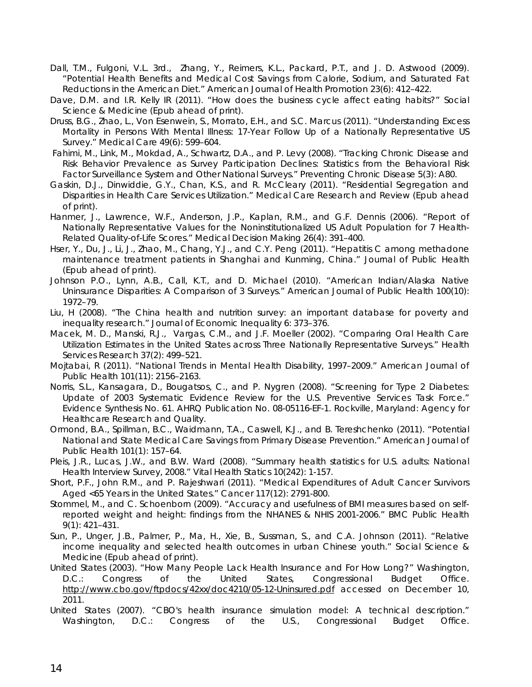- Dall, T.M., Fulgoni, V.L. 3rd., Zhang, Y., Reimers, K.L., Packard, P.T., and J. D. Astwood (2009). "Potential Health Benefits and Medical Cost Savings from Calorie, Sodium, and Saturated Fat Reductions in the American Diet." American Journal of Health Promotion 23(6): 412–422.
- Dave, D.M. and I.R. Kelly IR (2011). "How does the business cycle affect eating habits?" Social Science & Medicine (Epub ahead of print).
- Druss, B.G., Zhao, L., Von Esenwein, S., Morrato, E.H., and S.C. Marcus (2011). "Understanding Excess Mortality in Persons With Mental Illness: 17-Year Follow Up of a Nationally Representative US Survey." Medical Care 49(6): 599–604.
- Fahimi, M., Link, M., Mokdad, A., Schwartz, D.A., and P. Levy (2008). "Tracking Chronic Disease and Risk Behavior Prevalence as Survey Participation Declines: Statistics from the Behavioral Risk Factor Surveillance System and Other National Surveys." Preventing Chronic Disease 5(3): A80.
- Gaskin, D.J., Dinwiddie, G.Y., Chan, K.S., and R. McCleary (2011). "Residential Segregation and Disparities in Health Care Services Utilization." Medical Care Research and Review (Epub ahead of print).
- Hanmer, J., Lawrence, W.F., Anderson, J.P., Kaplan, R.M., and G.F. Dennis (2006). "Report of Nationally Representative Values for the Noninstitutionalized US Adult Population for 7 Health-Related Quality-of-Life Scores." *Medical Decision Making* 26(4): 391–400.
- Hser, Y., Du, J., Li, J., Zhao, M., Chang, Y.J., and C.Y. Peng (2011). "Hepatitis C among methadone maintenance treatment patients in Shanghai and Kunming, China." Journal of Public Health (Epub ahead of print).
- Johnson P.O., Lynn, A.B., Call, K.T., and D. Michael (2010). "American Indian/Alaska Native Uninsurance Disparities: A Comparison of 3 Surveys." American Journal of Public Health 100(10): 1972–79.
- Liu, H (2008). "The China health and nutrition survey: an important database for poverty and inequality research." Journal of Economic Inequality 6: 373–376.
- Macek, M. D., Manski, R.J., Vargas, C.M., and J.F. Moeller (2002). "Comparing Oral Health Care Utilization Estimates in the United States across Three Nationally Representative Surveys." Health Services Research 37(2): 499–521.
- Mojtabai, R (2011). "National Trends in Mental Health Disability, 1997–2009." American Journal of Public Health 101(11): 2156–2163.
- Norris, S.L., Kansagara, D., Bougatsos, C., and P. Nygren (2008). "Screening for Type 2 Diabetes: Update of 2003 Systematic Evidence Review for the U.S. Preventive Services Task Force." Evidence Synthesis No. 61. AHRQ Publication No. 08-05116-EF-1. Rockville, Maryland: Agency for Healthcare Research and Quality.
- Ormond, B.A., Spillman, B.C., Waidmann, T.A., Caswell, K.J., and B. Tereshchenko (2011). "Potential National and State Medical Care Savings from Primary Disease Prevention." American Journal of Public Health 101(1): 157–64.
- Pleis, J.R., Lucas, J.W., and B.W. Ward (2008). "Summary health statistics for U.S. adults: National Health Interview Survey, 2008." Vital Health Statics 10(242): 1-157.
- Short, P.F., John R.M., and P. Rajeshwari (2011). "Medical Expenditures of Adult Cancer Survivors Aged <65 Years in the United States." Cancer 117(12): 2791-800.
- Stommel, M., and C. Schoenborn (2009). "Accuracy and usefulness of BMI measures based on selfreported weight and height: findings from the NHANES & NHIS 2001-2006." BMC Public Health 9(1): 421–431.
- Sun, P., Unger, J.B., Palmer, P., Ma, H., Xie, B., Sussman, S., and C.A. Johnson (2011). "Relative income inequality and selected health outcomes in urban Chinese youth." Social Science & Medicine (Epub ahead of print).
- United States (2003). "How Many People Lack Health Insurance and For How Long?" Washington, D.C.: Congress of the United States, Congressional Budget Office. http://www.cbo.gov/ftpdocs/42xx/doc4210/05-12-Uninsured.pdf accessed on December 10, 2011.
- United States (2007). "CBO's health insurance simulation model: A technical description." Washington, D.C.: Congress of the U.S., Congressional Budget Office.